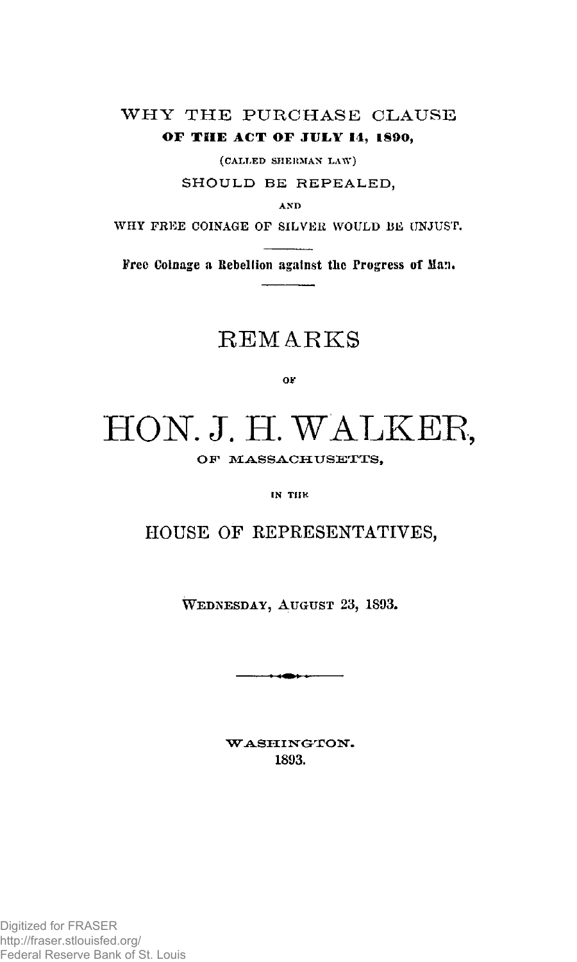# WHY THE PURCHASE CLAUSE **OF THE ACT OF JULY 14, 1890,**

 $(CAILED SHERMAN LAW)$ 

SHOULD BE REPEALED,

**A N D** 

Free Coinage a Rebellion against the Progress of Man.

# **REMARKS**

o r

# HON. J. H. WALKER,

OF MASSACHUSETTS,

**IN THK** 

# HOUSE OF REPRESENTATIVES,

**WEDNESDAY, AUGUST 23, 1S93.** 

 $+$   $+$   $-$ 

WASHINGTON. **1893.**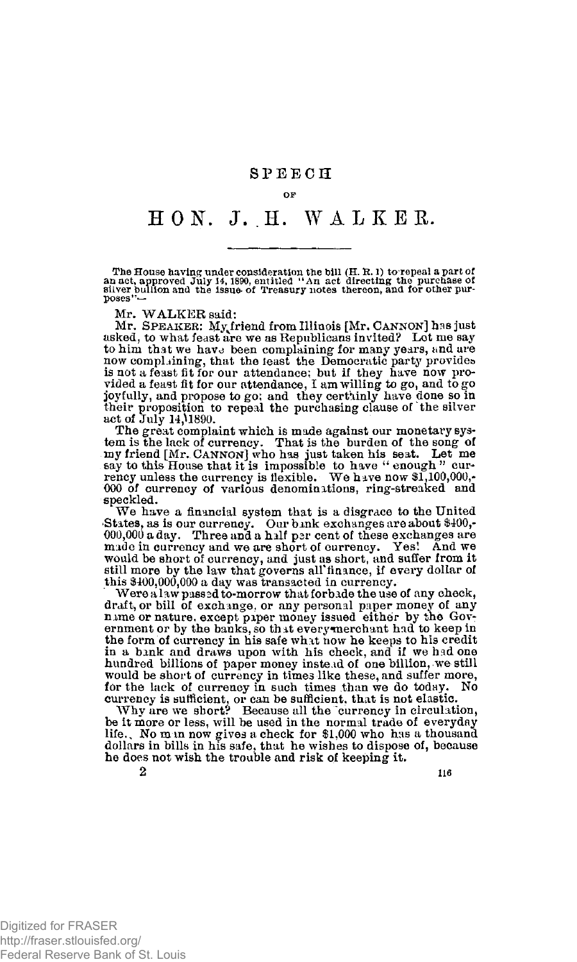# **SPEEC H**

#### **OF**

# **HOtf . J . .H . WALKER .**

The House having under consideration the bill (H. R. l) to repeal a part of<br>an act, approved July 14, 1890, entitled "An act directing the purchase of<br>silver bullion and the issue of Treasury notes thereon, and for other

Mr. WALKER said:

Mr. SPEAKER: My friend from Illinois [Mr. CANNON] has just asked, to what feast are we as Republicans invited? Let me say to him that we have been complaining for many years, and are<br>now complaining, that the feast the Democratic party provides<br>is not a feast fit for our attendance; but if they have now pro-<br>vided a feast fit for our attendan their proposition to repeal the purchasing clause of the silver act of July 14,^1890.

The great complaint which is mude against our monetary system is the lack of currency. That is the burden of the song of my friend [Mr. CANNON] who has just taken his seat. Let me asy to this House that it is impossible t 000 of currency of various denominations, ring-streaked and speckled.

We have a financial system that is a disgrace to the United >States, as is our currency. Our bank exchanges are about \$400,- 000,000 a day. Three and a half par cent of these exchanges are made in currency and we are short of currency. Yes! And we would be short of currency, and just as short, and suffer from it still more by the law that governs all finance, if every dollar of this \$400,000,000 a day was transacted in currency.

Were a law passed to-morrow that forbade the use of any check, draft, or bill of exchange, or any personal paper money of any name or nature, except piper money issued either by the Government or by the banks, so that every merchant had to keep in<br>the form of currency in his safe what now he keeps to his credit<br>in a bank and draws upon with his check, and if we had one hundred billions of paper money instead of one billion, we still would be short of currency in times like these, and suffer more, for the lack of currency in such times than we do today. No currency is sufficient, or can be sufficient, that is not elastic.

Why are we short? Because all the currency in circulation, be it more or less, will be used in the normal trade of everyday<br>life.. No m in now gives a check for \$1,000 who has a thousand dollars in bills in his safe, that he wishes to dispose of, because he does not wish the trouble and risk of keeping it.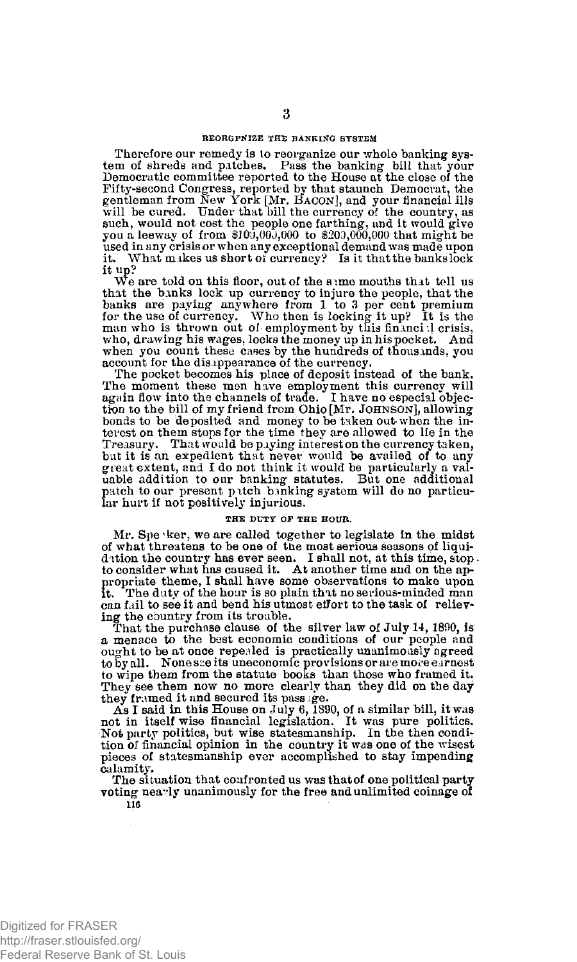## **REORGPNIZE THE BANKING SYSTEM**

Therefore our remedy is to reorganize our whole banking system of shreds and patches. Pass the hanking bill that your Democratic committee reported to the House at the close of the Fifty-second Congress, reported by that staunch Democrat, the gentleman from New York [Mr. BACON], and your financial ills will be cured. Under that bill the currency of the country, as such, would not cost the people one farthing, and it would give you a leeway of from \$100,000,000 to \$203,000,000 that might be used in any crisis or when any exceptional demand was made upon it. What makes us short *ol* currency? Is it that the banks lock it up?

We are told on this floor, out of the sime mouths that tell us that the banks lock up currency to injure the people, that the banks are paying anywhere from 1 to 3 per cent premium for the use of currency. Who then is locking it up? It is the man who is thrown out of employment by this financi :1 crisis, who, drawing his wages, locks the money up in his pocket. And when you count these cases by the hundreds of thousands, you account for the disappearance of the currency.

The pocket becomes his place of deposit instead of the bank. The moment these men have employment this currency will again flow into the channels of trade. I have no especial objec-tion to the bill of my friend from Ohio **[Mr. JOHNSON],** allowing bonds to be deposited and money to be taken out-when the in-terest on them stops for the time they are allowed to lie in the Treasury. That would be paying interest on the currency taken, but it is an expedient that never would be availed of to any great extent, and I do not think it would be particularly a val-uable addition to our banking statutes. But one additional patch to our present pitch b.mking system will do no particular hurt if not positively injurious.

#### **THE DUTY OF THE HOUR.**

Mr. Spe 'ker, we are called together to legislate in the midst of what threatens to be one of tne most serious seasons of liquidation the country has ever seen. I shall not, at this time, stop.<br>to consider what has caused it. At another time and on the appropriate theme, I shall have some observations to make upon it. The duty of the hour is so plain that no serious-minded man The duty of the hour is so plain that no serious-minded man can fail to see it and bend his utmost effort to the task of relieving the country from its trouble.

That the purchase clause of the silver law of July 14, 1800, is a menace to the best economic conditions of our people and ought to be at once repealed is practically unanimously agreed to by all. None sse its uneconomic provisions or are more earnest to wipe them from the statute books than those who framed it. They see them now no more clearly than they did on the day they framed it and secured its passage.

As I said in this House on July 6, 1890, of a similar bill, it was not in itself wise financial legislation. It was pure politics. Not party politics, but wise statesmanship. In the then condition of financial opinion in the country it was one of the wisest pieces of statesmanship ever accomplished to stay impending calamity.

The situation that confronted us was that of one political party voting nearly unanimously for the free and unlimited coinage of

**116**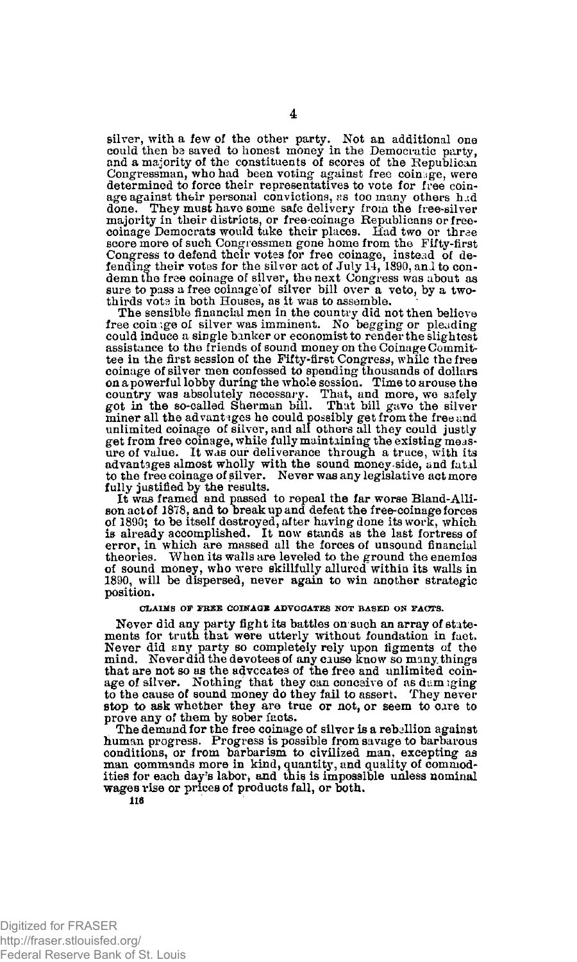silver, with a few of the other party. Wot an additional one could then be saved to honest money in the Democratic party, and a majority of the constituents of scores of the Republican Congressman, who had been voting- against free coinage, were determined to force their representatives to vote for free coin-<br>age against their personal convictions, as too many others had done. They must have some safe delivery from the free-silver majority in their districts, or free-coinage Republicans or free-coinage Democrats would take their places. Had two or thrae score more of such Congressmen gone home from the Fifty-first Congress to defend their votes for free coinage, instead of de-fending their votes for the silver act of July 14, 1890, anl to condemn the free coinage of silver, the next Congress was about as sure to pass a free coinage of silver bill over a veto, by a twothirds vota in both Houses, as it was to assemble.

The sensible financial men in the country did not then believe free coinage of silver was imminent. No begging or pleading could induce a single banker or economist to render the slightest assistance to the friends of sound money on the Coinage Committee in the first session of the Fifty-first Congress, while the free coinage of silver men confessed to spending thousands of dollars on a powerful lobby during the whole session. Time to arouse the country was absolutely necessary. That, and more, we safely got in the so-called Sherman bill. That bill gave the silver miner all the advantages he could possibly get from the free and unlimited coinage of silver, and all others all they could justly get from free coinage, while fully maintaining the existing measure of value. It was our deliverance through a truce, with its advantages almost wholly with the sound money .side, and fatal to the free coinage of silver. Never was any legislative act more fully justified by the results.

It was framed and passed to repeal the far worse Bland-Allison act of 1878, and to break up and defeat the free-coinage forces of 1890; to be itself destroyed, after having done its work, which is already accomplished. It now stands as the last fortress of error, in which are massed all the forces of unsound financial theories. When its walls are leveled to the ground the enemies of sound money, who were skillfully allured'within its walls in 1890, will be dispersed, never again to win another strategic position.

#### **CLAIMS OP FREE COINAGE ADVOCATES NOT BASED ON FACTS.**

Never did any party fight its battles on such an array of state-ments for truth that were utterly without foundation in fact. Never did any party so completely rely upon figments of the mind. Never did the devotees of any cause know so many things that are not so as the advocates of the free and unlimited coinage of silver. Nothing that they can conceive of as damaging to the cause of sound money do they fail to assert. They never stop to ask whether they are true or not, or seem to care to prove any of them by sober facts.

The demand for the free coinage of silver is a rebellion against human progress. Progress is possible from savage to barbarous conditions, or from barbarism to civilized man, excepting as man commands more in kind, quantity, and quality of commod-<br>ities for each day's labor, and this is impossible unless nominal wages rise or prices of products fall, or both.

**116**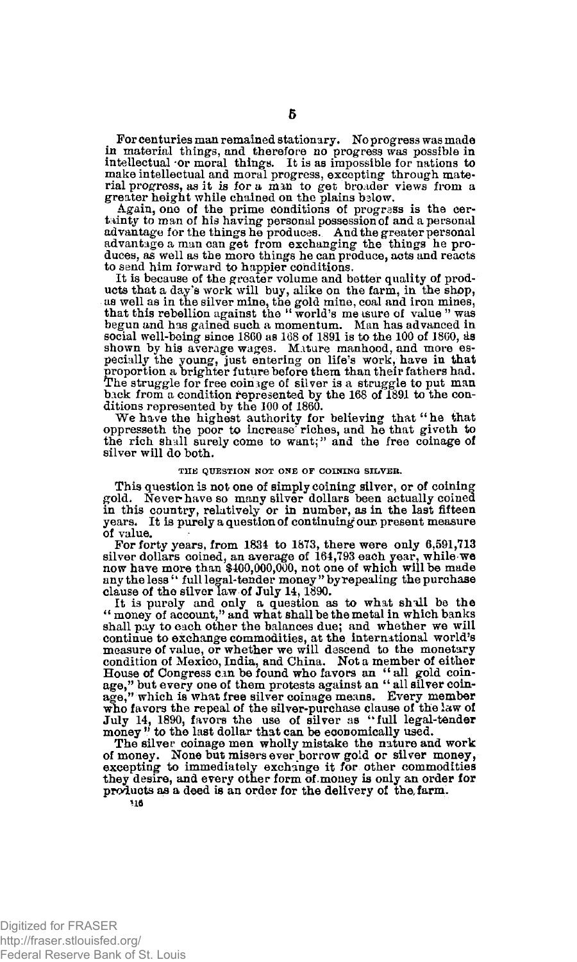For centuries man remained stationary. No progress was made in material things, and therefore no progress *was* possible in intellectual or moral things. It is as impossible for nations to make intellectual and moral progress, excepting through material progress, as it is for a man to get broader views from a greater height while chained on the plains below.

Again, one of the prime conditions of progress is the certainty to man of his having personal possession of and a personal advantage for the things he produces. And the greater personal advantage a man can get from exchanging the things he pro-<br>duces, as well as the more things he can produce, acts and reacts to send him forward to happier conditions.

It is because of the greater volume and better quality of products that a day's work will buy, alike on the farm, in the shop, as well as in the silver mine, the gold mine, coal and iron mines, that this rebellion against the " world's measure of value " was begun and has gained such a momentum. Man has advanced in social well-being since 1860 as 168 of 1891 is to the 100 of I860, ds shown by his average wages. Mature manhood, and more especially the young, just entering on life's work, have in that proportion a brighter future before them than their fathers had. The struggle for free coinage of silver is a struggle to put man back from a condition represented by the 168 of 1891 to the conditions represented by the 100 of 1860.

We have the highest authority for believing that "he that oppresseth the poor to increase' riches, and he that giveth to the rich shall surely come to want;" and the free coinage of silver will do both.

#### **THE QUESTION NOT ONE OF COINING SILVER.**

This question is not one of simply coining silver, or of coining gold. Never-have so many silver dollars been actually coined in this country, relatively or in number, as in the last fifteen years. It is purely a question of continuing our, present measure of value.

For forty years, from 1834 to 1873, there were only 6,591,713 silver dollars coined, an average of 164,793 each year, while we now have more than \$400,000,000, not one of which will be made any the less'' full legal-tender money " by repealing the purchase clause of the silver law of July 14,1890.

It is purely and only a question as to what shall be the "money of account," and what shall be the metal in which banks shall pay to each other the balances due; and whether we will continue to exchange commodities, at the international world's measure of value, or whether we will descend to the monetary condition of Mexico, India, and China. Not a member of either House of Congress can be found who favors an " all gold coin-" but every one of them protests against an "all silver coinage," but every one of them protests against an "all silver coinage," which is what free silver coinage means. Every member who favors the repeal of the silver-purchase clause of the law of July 14, 1890, favors the use of silver as "full legal-tender money " to the last dollar that can be economically used.

The silver coinage men wholly mistake the nature and work of money. None but misers ever borrow gold or silver money, excepting to immediately exchange it for other commodities they desire, and every other form of money is only an order for products as a deed is an order for the delivery of the, farm.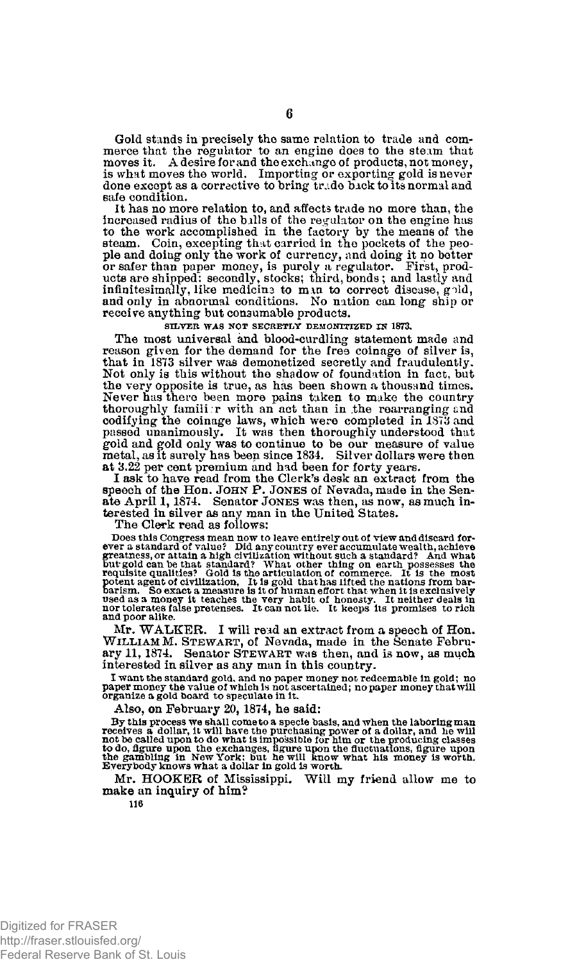Gold stands in precisely the same ralation to trade and commerce that the regulator to an engine does to the steam that moves it. A desire for and the exchange of products, not money, is what moves the world. Importing or exporting gold is never done except as a corrective to bring trade back to its normal and safe condition.

It has no more relation to, and affects trade no more than, the increased radius of the bills of the regulator on the engine has to the work accomplished in the factory by the means of the steam. Coin, excepting that carried in the pockets of the peo-ple and doing only the work of currency, and doing it no better or safer than paper money, is purely a regulator. First, products are shipped: secondly, stocks; third, bonds; and lastly and<br>infinitesimally, like medicina to man to correct disease, gold, and only in abnormal conditions. No nation can long ship or receive anything but consumable products.

**SILVER WAS NOT SECRETLY DEMON1TIZED IN 1873.** 

The most universal and blood-curdling statement made and reason given for the demand for the free coinage of silver is, that in 1873 silver was demonetized secretly and fraudulently. Not only is this without the shadow of foundation in fact, but the very opposite is true, as has been shown a thousand times. Never has there been more pains taken to make the country thoroughly famili r with an act than in the rearranging and codifying the coinage laws, which were completed in 1S73 and passed unanimously. It was then thoroughly understood that gold and gold only was to continue to be our measure of value metal, as it surely has been since 1834. Silver dollars were then at 3.22 per cent premium and had been for forty years.

I ask to have read from the Clerk's desk an extract from the speech of the Hon. JOHN P. JONES of Nevada, made in the Senate April 1,1874 . Senator JONES was then, as now, as much in-terested in silver as any man in the United States.

The Clerk read as follows:

Does this Congress mean now to leave entirely out of view and discard for-<br>ever a standard of value? Did any country ever a countulate wealth, achieve<br>greatness, or attain a high civilization without such a standard? And w

Mr. WALKER. I will read an extract from a speech of Hon. WILLIAM M. STEWART, of Nevada, made in the Senate February 11, 1874. Senator STEWART was then, and is now, as much interested in silver as any man in this country.

**I want the standard gold, and no paper money not redeemable in gold; no paper money the value of which is not ascertained; no paper money that will organize a gold board to speculate in it.** 

Also, on February 20, 1874, he said:

By this process we shall come to a specie basis, and when the laboring man<br>receives a dollar, it will have the purchasing power of a dollar, and he will<br>not be called upon to do what is impossible for him or the producing

Mr. HOOKER of Mississippi. Will my friend allow me to make an inquiry of him?

**116**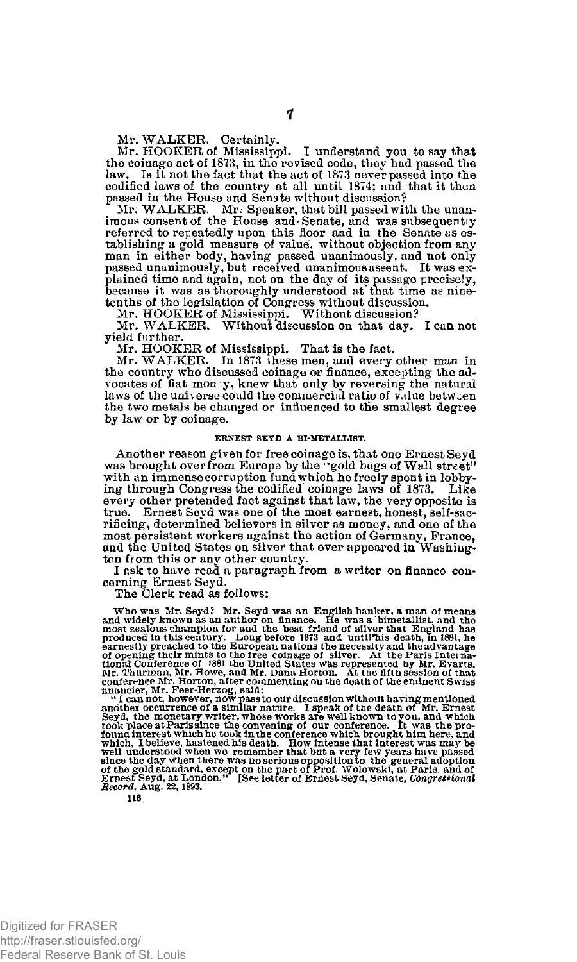Mr. WALKER. Certainly. Mr. HOOKER of Mississippi. I understand you to say that the coinage act of 1873, in the revised code, they had passed the law. Is it not the fact that the act of 1873 never passed into the codified laws of the country at all until 1874; and that it then passed in the House and Senate without discussion? Mr. WALKER. Mr. Speaker, that bill passed with the unan-

imous consent of the House and Senate, and was subsequently referred to repeatedly upon this floor and in the Senate as establishing a gold measure of value, without objection from any man in either body, having passed unanimously, and not only passed unanimously, but received unanimous assent. It was explained time and again, not on the day of its passage precisely, because it was as thoroughly understood at^ that time as ninetenths of the legislation of Congress without discussion. Mr. HOOKER of Mississippi. Without discussion? Mr. WALKER. Without discussion on that day. I can not

yield further.

Mr. HOOKER of Mississippi. That is the fact.

Mr. WALKER. In 1873 these men, and every other man in the country who discussed coinage or finance, excepting the ad-<br>vocates of fiat mon y, knew that only by reversing the natural<br>laws of the universe could the commercial ratio of value between the two metals be changed or influenced to the smallest degree by law or by coinage.

#### **ERNEST SEYD A BI-METALLIST.**

Another reason given for free coinage is, that one Ernest Seyd was brought over from Europe by the "gold bugs of Wall street" with an immense corruption fund which he freely spent in lobbying through Congress the codified coinage laws of 1873. Like every other pretended fact against that law, the very opposite is true. Ernest Seyd was one of the most earnest, honest, self-sacrificing, determined believers in silver as money, and one of the most persistent workers against the action of Germany, Prance, and the United States on silver that ever appeared in Washington from this or any other country.

I ask to have read a paragraph from a writer on finance concerning Ernest Seyd.<br>The Clerk read as follows:

The Clerk read as follows:

Who was Mr. Seyd? Mr. Seyd was an English banker, a man of means and widely known as an anithor on finance. He was a bimetaillst, and the most zealous champion for and the best friend of sliver that England has produced i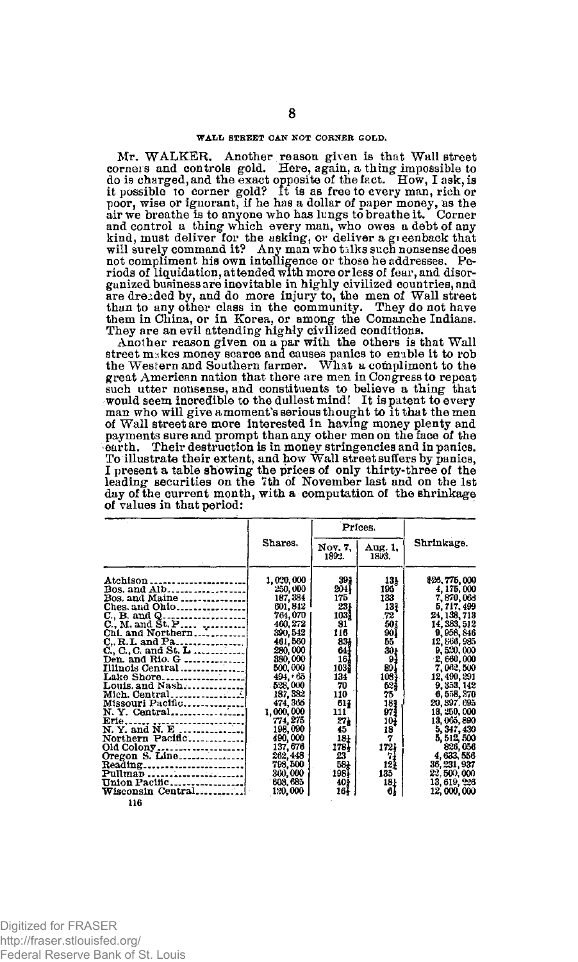#### **WALL STREET CAN NOT CORNER GOLD.**

Mr. WALKER. Another reason given is that Wall street corners and controls gold. Here, again, a thing impossible to do is charged, and the exact opposite of the fact. How, I ask, is<br>it possible to corner gold? It is as free to every man, rich or<br>poor, wise or ignorant, if he has a dollar of paper money, as the<br>air we breathe is to anyon and control a thing which every man, who owes a debt of any kind, must deliver for the asking, or deliver a gieenback that will surely command it? Any man who talks such nonsense does not compliment his own intelligence or those he addresses. Periods of liquidation, attended with more or less of fear, and disorganized business are inevitable in highly civilized countries, and<br>are dreaded by, and do more injury to, the men of Wall street<br>than to any other class in the community. They do not have<br>them in China, or in Korea, or amo

Another reason given on a par with the others is that Wall street makes money scarce and causes panics to enable it to rob<br>the Western and Southern farmer. What a compliment to the<br>great American nation that there are men in Congress to repeat such utter nonsense, and constituents to believe a thing that would seem incredible to the dullest mind! It is patent to every man who will give amoment's serious thought to it that the men of Wall street are more interested in having money plenty and payments sure and prompt than any other men on the face of the earth. Their destruction is in money stringencies and in panics. To illustrate their extent, and how Wall street suffers by panics, I present a table showing the prices of only thirty-three of the leading securities on the 7th of November last and on the 1st day of the current month, with a computation of the shrinkage of values in that period:

|                                           |           | Prices.          |                  |              |
|-------------------------------------------|-----------|------------------|------------------|--------------|
|                                           | Shares.   | Nov. 7.<br>1892. | Aug. 1.<br>1893. | Shrinkage.   |
|                                           | 1,020,000 | 393              | 13 <sub>h</sub>  | \$26,775,000 |
| Bos. and Alb                              | 250,000   | 204 I            | 195              | 4, 175, 000  |
| Bos. and Maine $\ldots$ $\ldots$ $\ldots$ | 187, 384  | 175              | 133              | 7,870,063    |
|                                           | 601, 842  | 231              | 131              | 5, 717, 499  |
|                                           | 764,070   | 103)             | 72               | 24, 138, 713 |
|                                           | 460.272   | 81               | 503              | 14, 383, 512 |
| Chi. and Northern                         | 390, 542  | 116              | 90)              | 9, 958, 846  |
| $C_{n}$ R.L. and Pa                       | 461,560   | 831              | 55               | 12, 568, 985 |
| C., C., C. and St. L                      | 280,000   | 641              | 301              | 9,520,000    |
| Den. and Rio. G                           | 380,000   | 167              | 91               | 2,660,000    |
| Illinois Central<br>Lake Shore            | 500,000   | 103)             | 89 (             | 7, 062, 500  |
|                                           | 494, 65   | 134              | 108}             | 12, 490, 291 |
| Louis. and Nash                           | 528,000   | 70               | 52\$             | 9, 353, 142  |
| Mich. Central                             | 137, 382  | 110              | 75               | 6,558,370    |
|                                           | 474, 365  | 617              | 181              | 20, 397, 695 |
|                                           | 1,000,000 | 111              | 971              | 13, 250, 000 |
|                                           | 774, 275  | 27)              | 10i              | 13,065,890   |
|                                           | 198,090   | 45               | 18               | 5, 347, 430  |
| Northern Pacific                          | 490,000   | 18)              | 7                | 5, 512, 500  |
| Old Colony                                | 137,676   | 1781             | 1721             | 826,056      |
| Oregon S. Line                            | 262, 448  | 23               | 71               | 4, 633, 556  |
|                                           | 798,500   | 581              | 121              | 36, 231, 937 |
|                                           | 360,000   | $198$            | 135              | 22, 500, 000 |
| Union Pacific                             | 608, 685  | 40\$             | 181              | 13, 619, 226 |
| Wisconsin Central                         | 120,000   | 164              | 6}               | 12,000,000   |

**116**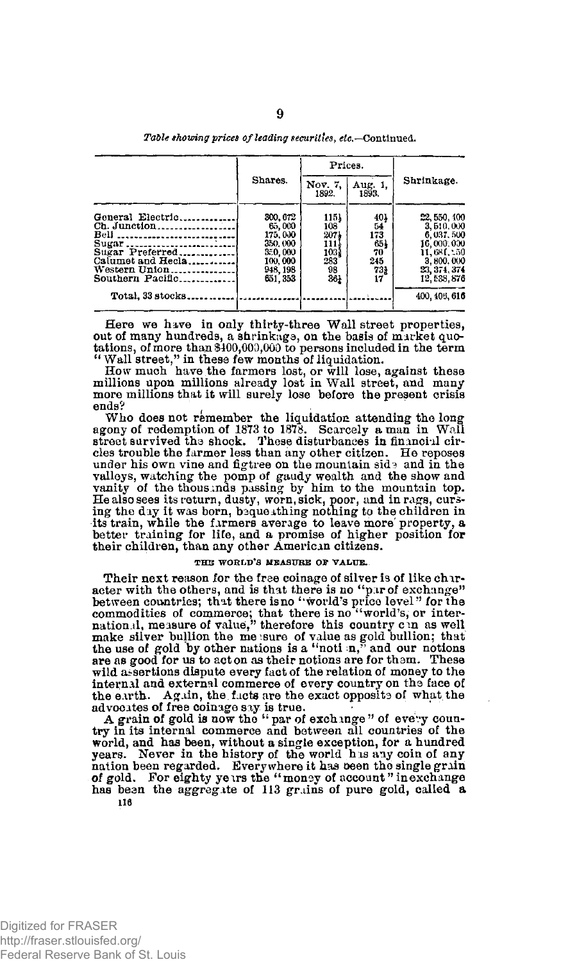*Table showing prices of leading securities***, ^.—Continued.** 

|                                                                                                                                                 | Shares.                                                                               | Prices.                                                 |                                                   |                                                                                                                 |
|-------------------------------------------------------------------------------------------------------------------------------------------------|---------------------------------------------------------------------------------------|---------------------------------------------------------|---------------------------------------------------|-----------------------------------------------------------------------------------------------------------------|
|                                                                                                                                                 |                                                                                       | Nov. 7.<br>1892.                                        | Aug. 1.<br>1893.                                  | Shrinkage.                                                                                                      |
| General Electric<br>Ch. Junction<br>Bell<br>Sugar<br>Sugar Preferred<br>Calumet and Hecla<br>Western Union.<br>. . <b>.</b><br>Southern Pacific | 300, 672<br>65.000<br>175,000<br>350.000<br>350,000<br>100,000<br>948, 198<br>651.353 | 1151<br>108<br>2074<br>1111<br>1031<br>283<br>98<br>36) | 401<br>54<br>173<br>651<br>70<br>245<br>731<br>17 | 22, 550, 400<br>3,510,000<br>6, 037, 500<br>16,000,000<br>11,681,150<br>3,800,000<br>23, 374, 374<br>12,538,876 |
| Total, 33 stocks                                                                                                                                |                                                                                       |                                                         |                                                   | 400, 405, 616                                                                                                   |

Here we have in only thirty-three Wall street properties, out of many hundreds, a shrinkage, on the basis of market quotations, of more than \$400,000,000 to persons included in the term

"Wall street/1 in these few months of liquidation. How much have the farmers lost, or will lose, against these millions upon millions already lost in Wall street, and many more millions that it will surely lose before the present crisis ands<sup>9</sup> ends?

Who does not remember the liquidation attending the long agony of redemption of 1873 to 1878. Scarcely a man in Wall street survived the shock. These disturbances in financial circles trouble the farmer less than any other citizen. He reposes under his own vine and figtree on the mountain side and in the valleys, watching the pomp of gaudy wealth and the show and vanity of the thousands passing by him to the mountain top. He also sees its return, dusty, worn, sick, poor, and in rags, curs-ing the day it was born, b3queathing nothing to the children in its train, while the farmers average to leave more property, a better training for life, and a promise of higher position for their children, than any other American citizens.

#### **THUS WORLD'S MEASURE OF VALUE.**

Their next reason for the free coinage of silver is of like character with the others, and is that there is no "pur of exchange"<br>between countries; that there is no "world's price level" for the<br>commodities of commerce; that there is no "world's, or inter-<br>national, measure of value," make silver bullion the me sure of value as gold bullion; that the use of gold by other nations is a "noti  $n$ ," and our notions are as good for us to acton as their notions are for tham. These wild assertions dispute every fact of the relation of money to the internal and external commerce of every country on the face of the earth. Again, the facts are the exact opposite of what the advocates of free coinage say is true.  $\blacksquare$ 

A grain of gold is now the " par of exchange " of evevy coun-try in its internal commerce and between all countries of the world, and has been, without a single exception, for a hundred years. Never in the history of the world h is aiy coin of any nation been regarded. Everywhere it has oeen the single grain of gold. For eighty ye irs the " monoy of account" in exchange has been the aggregate of 113 grains of pure gold, called a 116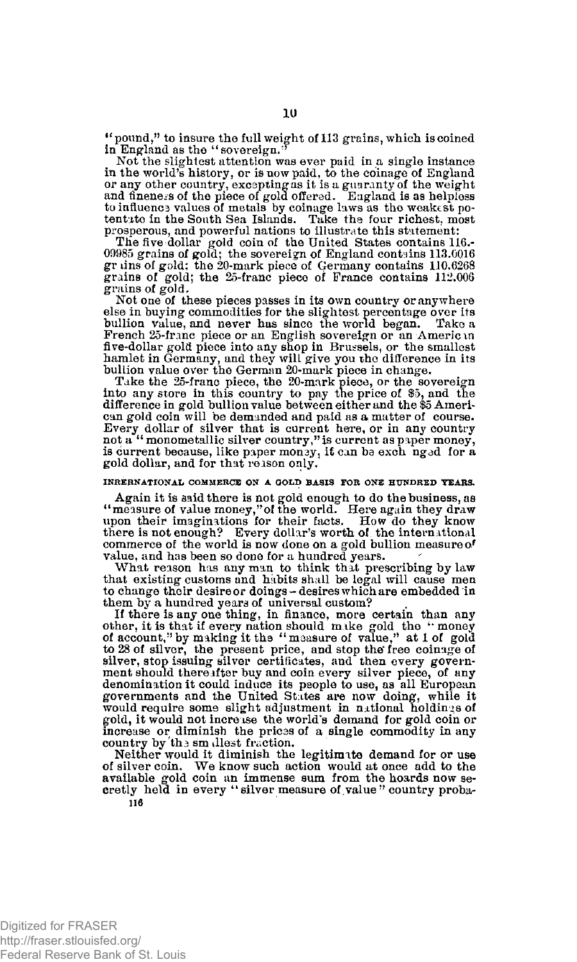" pound," to insure the full weight of 113 grains, which is coined in England as the "sovereign."

Not the slightest attention was ever paid in a single instance in the world's history, or is now paid, to the coinage of England or any other country, excepting as it is a guaranty of the weight and fineness of the piece of gold offered. England is as helpless to influence values of metals by coinage laws as the weakest po-tentate in the South Sea Islands. Take the four richest, most

prosperous, and powerful nations to illustrate this statement:<br>The five dollar gold coin of the United States contains 116.-09985 grains of gold; the sovereign of England contains 113.0016 gr tins of gold; the 20-mark piece of Germany contains 110.6268 grains of gold; the 25-franc piece of France contains 112.006 grains of gold.

Not one of these pieces passes in its own country or anywhere else in buying commodities for the slightest percentage over its bullion value, and never has since the world began. Take a French 25-franc piece or an English sovereign or an American five-dollar gold piece into any shop in Brussels, or the smallest hamlet in Germany, and they will give you the difference in its bullion value over the German 20-mark piece in change.

Take the 25-franc piece, the 20-mark piece, or the sovereign<br>into any store in this country to pay the price of \$5, and the<br>difference in gold bullion value between either and the \$5 Ameri-<br>can gold coin will be demanded Every dollar of silver that is current here, or in any country not a "monometallic silver country," is current as paper money, is current because, like paper money, if can be exch nged for a gold dollar, and for that reison only.

# **INKERNATIONAL COMMERCE ON A GOLD BASIS FOB ONE HUNDRED TEARS.**

Again it is said there is not gold enough to do the business, as "measure of value money,"of the world. Here again they draw upon their imaginations for their facts. How do they know there is not enough? Every dollar's worth of the international commerce of the world is now done on a gold bullion measure *of*  value, and has been so done for a hundred years.

What reason has any man to think that prescribing by law that existing customs and habits shall be legal will cause men to change their desire or doings-desires which are embedded in

them by a hundred years of universal custom?<br>If there is any one thing, in finance, more certain than any<br>other, it is that if every nation should make gold the "money<br>of account," by making it the "measure of value," at 1 to 28 of silver, the present price, and stop the free coinage of silver, stop issuing silver certificates, and then every government should thereafter buy and coin every silver piece, of any denomination it could induce its people to use, as all European governments and the United States are now doing, while it would require some slight adjustment in national holdings of gold, it would not increase the world's demand for gold coin or increase or diminish the prices of a single commodity in any country by the smallest fraction.

Neither would it diminish the legitimate demand for or use of silver coin. We know such action would at once add to the available gold coin an immense sum from the hoards now secretly held in every " silver measure of value" country proba-**116**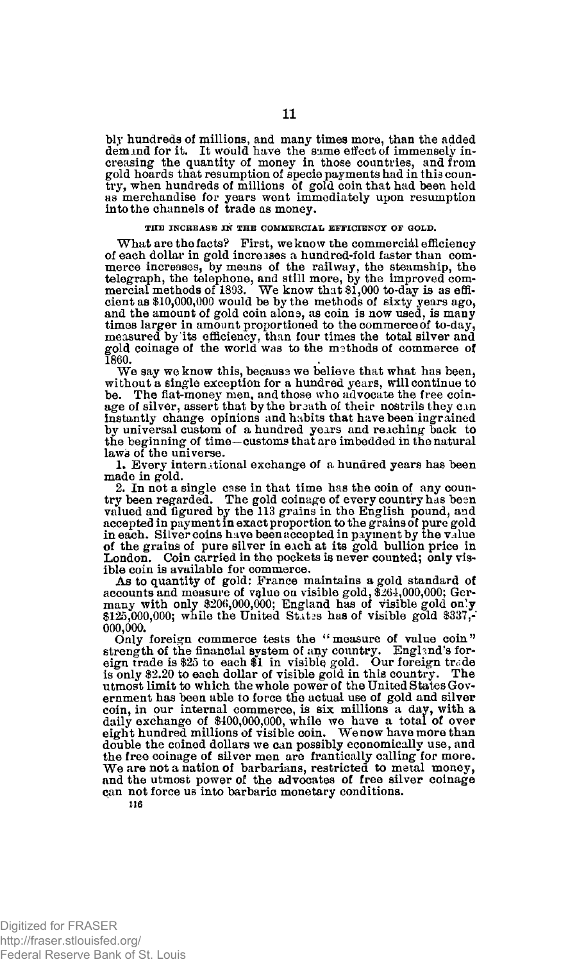bly hundreds of millions, and many times more, than the added demxnd for it. It would have the same effect of immensely increasing the quantity of money in those countries, and from gold hoards that resumption of specie payments had in this country, when hundreds of millions of gold coin that had been held as merchandise for years went immediately upon resumption into the channels of trade as money.

## **THE INCREASE IN THE COMMERCIAL EFFICIENCY OF GOLD.**

What are the facts? First, we know the commercial efficiency of each dollar in gold increases a hundred-fold faster than commerce increases, by means of the railway, the steamship, the telegraph, the telephone, and still more, by the improved com-mercial methods of 1893. We know that \$1,000 to-day is as efficient as \$10,000,000 would be by the methods of sixty years ago, and the amount of gold coin alone, as coin is now used, is many times larger in amount proportioned to the commerce of to-day, measured by its efficiency, than four times the total silver and gold coinage of the world was to the msthods of commerce of **1860.** 

We say we know this, becausa we believe that what has been, without a single exception for a hundred years, will continue to be. The fiat-money men, and those who advocate the free coinage of silver, assert that by the braath of their nostrils they can instantly change opinions and habits that have been ingrained by universal custom of a hundred years and reaching back to the beginning of time—customs that are imbedded in the natural laws of the universe.

1. Every international exchange of a hundred years has been made in gold.

2. In not a single case in that time has the coin of any coun-try been regarded. The gold coinage of every country has bean valued and figured by the 113 grains in the English pound, and accepted in payment in exact proportion to the grains of pure gold in each. Silver coins have been accepted in payment by the value of the grains of pure silver in each at its gold bullion price in London. Coin carried in the pockets is never counted; only visible coin is available for commerce.

As to quantity of gold: Prance maintains a gold standard of accounts and measure of value on visible gold, \$264,000,000; Germany with only \$206,000,000; England has of visible gold on**'y**  \$125,000,000; while the United States has of visible gold \$337,- **000,000.** 

Only foreign commerce tests the "measure of value coin" strength of the financial system of any country. England's for-eign trade is \$25 to each \$1 in visible gold. Our foreign trade is only \$2.20 to each dollar of visible gold in this country. The utmost limit to which the whole power of the United States Gov-ernment has been able to force the actual use of gold and silver coin, in our internal commerce, is six millions a day, with a daily exchange of \$400,000,000, while we have a total of over eight hundred millions of visible coin. We now have more than double the coined dollars we can possibly economically use, and the free coinage of silver men are frantically calling for more.<br>We are not a nation of barbarians, restricted to metal money, and the utmost power of the advocates of free silver coinage can not force us into barbaric monetary conditions.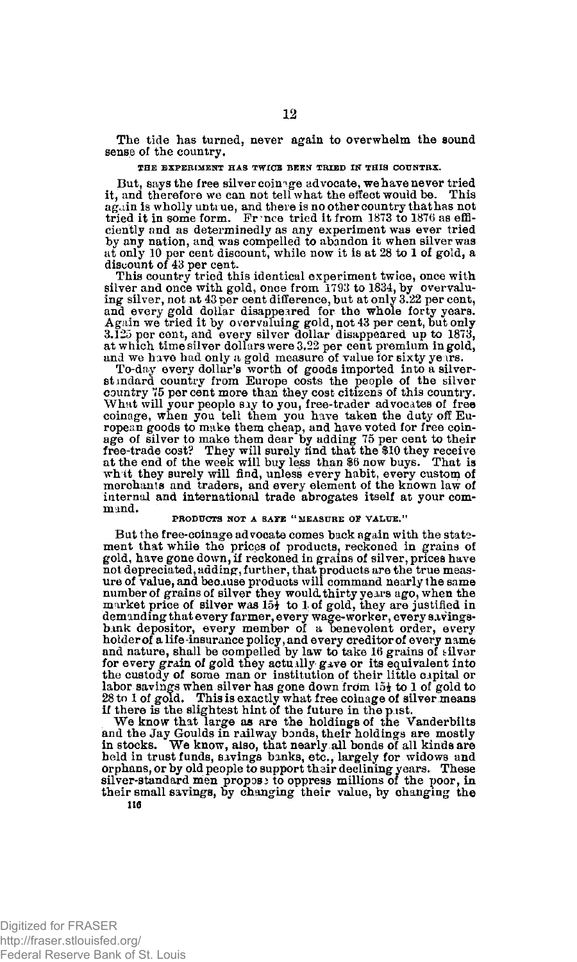The tide has turned, never again to overwhelm the sound sense of the country.

#### **THE EXPERIMENT HAS TWICE BEEN TRIED IN THIS COUNTRX.**

But, says the free silver coinage advocate, we have never tried it, and therefore we can not tell what the effect would be. This aghin is wholly untrue, and there is no other country that has not tried it in some form. France tried it from 1873 to 1876 as efficiently and as determinedly as any experiment was ever tried by any nation, and was compelled to abandon it when silver was at only 10 per cent discount, while now it is at 28 to 1 of gold, a discount of 43 per cent.

This country tried this identical experiment twice, once with silver and once with gold, once from 1793 to 1834, by overvalu-ing silver, not at 43 per cent difference, but at only 3.22 per cent, and every gold dollar disappeared for the whole forty years. Again we tried it by overvaluing gold, not 43 per cent, but only<br>3.125 per cent, and every silver dollar disappeared up to 1873,<br>at which timesilver dollars were 3.22 per cent premium in gold,<br>and we have had only a gold m

To-day every dollar's worth of goods imported into a silverst indard country from Europe costs the people of the silver<br>country 75 per cent more than they cost citizens of this country.<br>What will your people sly to you, free-trader advocates of free<br>coinage, when you tell them you ropean goods to make them cheap, and have voted for free coinage of silver to make them dear by adding 75 per cent to their<br>free-trade cost? They will surely find that the \$10 they receive<br>at the end of the week will buy less than \$6 now buys. That is<br>whit they surely will find, unl merchants and traders, and every element of the known law of internal and international trade abrogates itself at your command.

## **PRODUCTS NOT A SAFE "MEASURE OF VALUE."**

But the free-coinage advocate comes back again with the statement that while the prices of products, reckoned in grains of gold, have gone down, if reckoned in grains of silver, prices have not depreciated, adding, further, that products are the true meas-ure of value, and because products will command nearly the same number of grains of silver they would thirty years ago, when the market price of silver was  $15\frac{1}{2}$  to 1 of gold, they are justified in demanding that every farmer, every wage-worker, every savings-<br>bank depositor, every member of a benevolent order, every<br>holderof alife-insurance policy, and every creditor of every name<br>and nature, shall be compelled by l for every grain of gold they actually gave or its equivalent into the custody of some man or institution of their little capital or labor savings when silver has gone down from 15 $\frac{1}{2}$  to 1 of gold to 28 to 1 of gold. This is exactly what free coinage of silver means if there is the slightest hint of the future in the p.1st.

We know that large as are the holdings of the Vanderbilts<br>and the Jay Goulds in railway bonds, their holdings are mostly<br>in stocks. We know, also, that nearly all bonds of all kinds are held in trust funds, savings banks, etc., largely for widows and<br>orphans, or by old people to support their declining years. These<br>silver-standard men propose to oppress millions of the poor, in their small savings, by changing their value, by changing the lie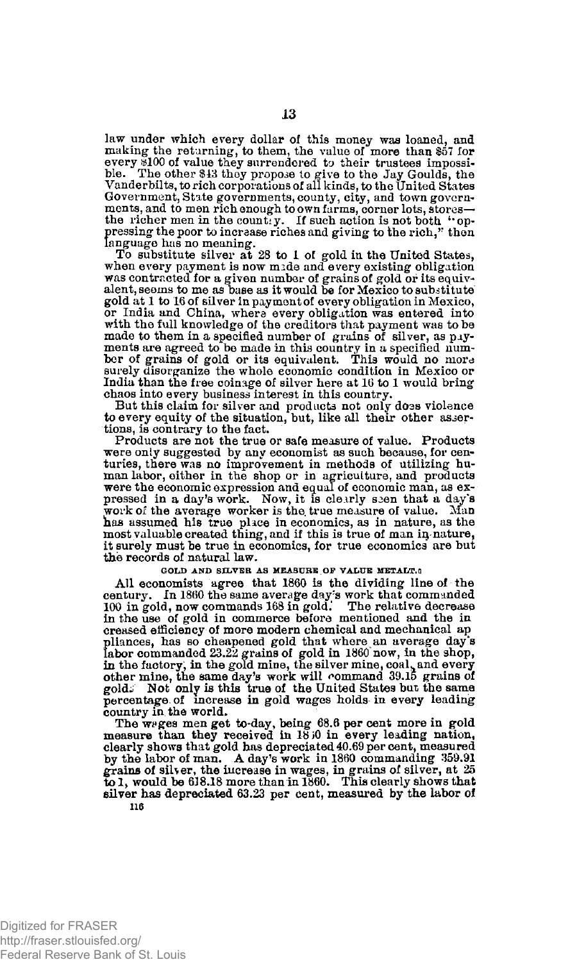law under which every dollar of this money was loaned, and making the returning, to them, the value of more than \$57 for every \$100 of value they surrendered to their trustees impossi-ble. The other \$43 they propose to give to the Jay Goulds, the Vanderbilts, to rich corporations of all kinds, to the United States Government, State governments, county, city, and town governments, and to men rich enough to own farms, corner lots, stores the richer men in the countiy. If such action is not both "oppressing the poor to increase riches and giving to the rich," then language has no meaning.<br>To substitute silver at 28 to 1 of gold in the United States,

when every payment is now mide and every existing obligation was contracted for a given number of grains of gold or its equivalent, seems to me as base as it would be for Mexico to substitute gold at 1 to 16 of silver in payment of every obligation in Mexico, or India and China, where every obligation was entered into with the full knowledge of the creditors that payment was to be made to them in a specified number of grains of silver, as payments are agreed to be made in this country in a specified num-ber of grains of gold or its equivalent. This would no more surely disorganize the whole economic condition in Mexico or India than the free coinage of silver here at 16 to 1 would bring chaos into every business interest in this country.

But this claim for silver and products not only doas violence to every equity of the situation, but, like all their other assertions, is contrary to the fact.

Products are not the true or safe measure of value. Products were only suggested by any economist as such because, for centuries, there was no improvement in methods of utilizing human labor, either in the shop or in agriculture, and products were the economic expression and equal of economic man, as ex-pressed in a day's work. Now, it is clearly s3en that a day's work of the average worker is the true measure of value. Man has assumed his true place in economics, as in nature, as the most valuable created thing, and if this is true of man in nature, it surely must be true in economics, for true economics are but the records of natural law.

## **GOLD AND SILVER AS MEASURE OF VALUE METALT.**

All economists agree that 1860 is the dividing line of the century. In I860 the same average day's work that commanded 100 in gold, now commands 168 in gold.' The relative decrease in the use of gold in commerce before mentioned and the in creased efficiency of more modern chemical and mechanical ap pliances, has so cheapened gold that where an average day's<br>labor commanded 23.22 grains of gold in 1860 now, in the shop,<br>in the factory, in the gold mine, the silver mine, coal, and every other mine, the same day's work will command 39.15 grains of gold. Not only is this true of the United States but the same gold-i Not only is this true of the United States but the same percentage, of increase in gold wages holds in every leading country in the world.

The weges men get to-day, being 68.6 per cent more in gold measure than they received in 18 30 in every leading nation, clearly shows that gold has depreciated 40.69 per cent, measured by the labor of man. A day's work in 1860 commanding 359.91 grains of silver, the increase in wages, in grains of silver, at 25 to 1, would be 638.18 more than in 1860. This clearly shows that silver has depreciated 63.23 per cent, measured by the labor of **110**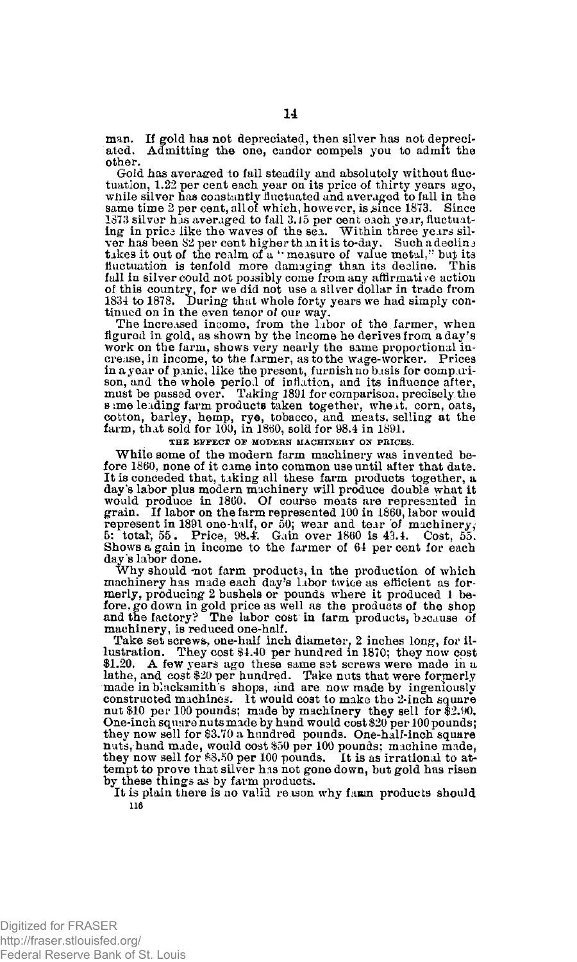man. If gold has not depreciated, then silver has not depreciated. Admitting the one, candor compels you to admit the other.

Gold has averaged to fall steadily and absolutely without fluctuation, 1.22 per cent each year on its price of thirty years ago, while silver has constantly fluctuated and averaged to fall in the same time  $2$  per cent, all of which, however, is since 1873. Since 1373 silver has averaged to fall 3.15 per cent each year, fluctuating in prica like the waves of the sea. Within three years silver has been 82 per cent higher than it is to-day. Such a decline takes it out of the realm of a "measure of value metal," but its fluctuation is tenfold more damaging than its decline. This fall in silver could not possibly come from any affirmative action of this country, for we did not use a silver dollar in trade from 1834 to 1878. During that whole forty years we had simply con-tinued on in the even tenor of our way.

The increased income, from the labor of the farmer, when figured in gold, as shown by the income he derives from a day's work on the farm, shows very nearly the same proportional in-<br>crease, in income, to the farmer, as to the wage-worker. Prices<br>in a year of panic, like the present, furnish no basis for compari-<br>son, and the whole period of s ime leading farm products taken together, wheit, corn, oats, cotton, barley, hemp, rye, tobacco, and meats, selling at the farm, that sold for 100, in 1860, sold for 98.4 in 1891.

THE EFFECT OF MODERN MACHINERY ON PRICES

While some of the modern farm machinery was invented before I860, none of it came into common use until after that date. It is conceded that, taking all these farm products together, a day's labor plus modern machinery will produce double what it would produce in 1860. Of course meats are represented in grain. If labor on the farm represented 100 in 1860, labor would represent in 1891 one-half, or 50; wear and tear 'of machinery, 5: total, 55. Price, 98.4'. Gain over 1860 is 43.4. Cost, 55. Shows a gain in income to the farmer of 64 per cent for each day 's labor done.

Why should not farm products, in the production of which machinery has made each day's labor twice as efficient as formerly, producing 2 bushels or pounds where it produced 1 before. go down in gold price as well as the products of the shop and the factory? The labor cost in farm products, because of machinery, is reduced one-half.<br>Take set screws, one-half inch diameter, 2 inches long, for il-

lustration. They cost \$4.40 per hundred in 1870; they now cost \$1.20. A few years ago these same sst screws were made in a lathe, and cost \$20 per hundred. Take nuts that were formerly made in blacksmith's shops, and are now made by ingeniously constructed machines. It would cost to make the 2-inch square nut \$10 per 100 pounds; made by machinery they sell for \$2.90. One-inch square nuts made by hand would cost \$20 per 100 pounds; they now sell for \$3.70 a hundred pounds. One-half-inch square nuts, hand made, would cost \$50 per 100 pounds; machine made, they now sell for \$8.50 per 100 pounds. It is as irrational to attempt to prove that silver has not gone down, but gold has risen by these things as by farm products.

It is plain there is no valid reason why faun products should **116**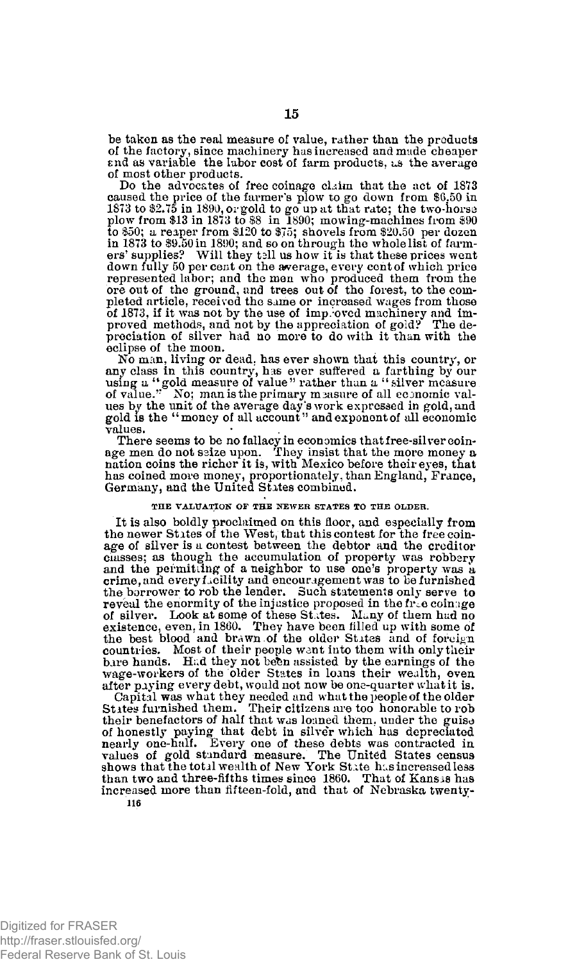be taken as the real measure of value, rather than the products of the factory, since machinery has increased and made cheaper End as variable the labor cost of farm products, us the average of most other products.

Do the advocates of free coinage claim that the act of 1873 caused the price of the farmer's plow to go down from \$6.50 in 1873 to \$2.75 in 1890, or gold to go up at that rate; the two-horse plow from \$13 in 1873 to \$8 in 1890; mowing-machines from \$90 to \$50; a reaper from \$120 to \$75; shovels from \$20.50 per dozen in 1873 to \$9.50 in 1890; and so on through the whole list of farmers' supplies? Will they tall us how it is that these prices went down fully 50 per cent on the average, every cent of which price represented labor; and the men who produced them from the ore out of the ground, and trees out of the forest, to the completed article, received the same or increased wages from those of 1873, if it was not by the use of imp.:oved machinery and im-proved methods, and not by the appreciation of gold? The depreciation of silver had no more to do with it than with the eclipse of the moon.

No man, living or dead, has ever shown that this country, or<br>any class in this country, has ever suffered a farthing by our<br>using a "gold measure of value" rather than a "silver measure<br>of value." No; man is the primary me ues by the unit of the average day's work expressed in gold, and gold is the "money of all account" and exponent of all economic values.

There seems to be no fallacy in economics that free-silver coin-<br>age men do not seize upon. They insist that the more money a<br>nation coins the richer it is, with Mexico before their eyes, that has coined more money, proportionately, than England, France, Germany, and the United States combined.

#### **THE VALUATION OF THE NEWER STATES TO THE OLDER.**

It is also boldly proclaimed on this floor, and especially from the newer States of the West, that this contest for the free coinage of silver is a contest between the debtor and the creditor Classes; as though the accumulation of property was robbery and the permit ling of a neighbor to use one's property was a crime, and every facility and encouragement was to be furnished the borrower to rob the lender. Such statements only serve to reveal the enormity of the injustice proposed in the free coinage<br>of silver. Look at some of these States. Many of them had no<br>existence, even, in 1860. They have been filled up with some of the best blood and brawn of the older States and of foreign countries. Most of their people went into them with only their bare hands. Had they not been assisted by the earnings of the wage-workers of the older States in loans their wealth, even after paying every debt, would not now be one-quarter what it is.

Capital was what they needed and what the people of the older<br>States furnished them. Their citizens are too honorable to rob<br>their benefactors of half that was louned them, under the guise<br>of honestly paying that debt in s increased more than fifteen-fold, and that of Nebraska twenty-116